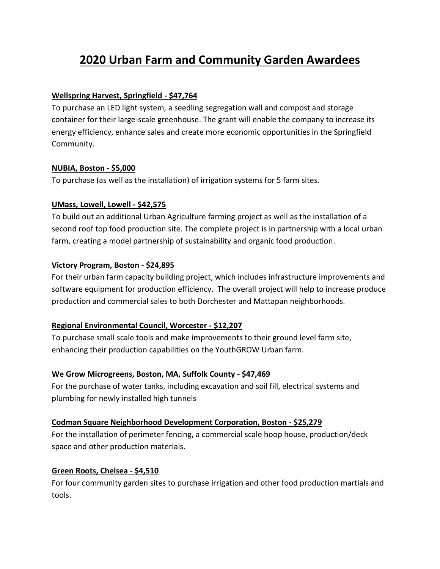# **2020 Urban Farm and Community Garden Awardees**

#### **Wellspring Harvest, Springfield - \$47,764**

To purchase an LED light system, a seedling segregation wall and compost and storage container for their large-scale greenhouse. The grant will enable the company to increase its energy efficiency, enhance sales and create more economic opportunities in the Springfield Community.

## **NUBIA, Boston - \$5,000**

To purchase (as well as the installation) of irrigation systems for 5 farm sites.

## **UMass, Lowell, Lowell - \$42,575**

To build out an additional Urban Agriculture farming project as well as the installation of a second roof top food production site. The complete project is in partnership with a local urban farm, creating a model partnership of sustainability and organic food production.

## **Victory Program, Boston - \$24,895**

For their urban farm capacity building project, which includes infrastructure improvements and software equipment for production efficiency. The overall project will help to increase produce production and commercial sales to both Dorchester and Mattapan neighborhoods.

# **Regional Environmental Council, Worcester - \$12,207**

To purchase small scale tools and make improvements to their ground level farm site, enhancing their production capabilities on the YouthGROW Urban farm.

#### **We Grow Microgreens, Boston, MA, Suffolk County - \$47,469**

For the purchase of water tanks, including excavation and soil fill, electrical systems and plumbing for newly installed high tunnels

# **Codman Square Neighborhood Development Corporation, Boston - \$25,279**

For the installation of perimeter fencing, a commercial scale hoop house, production/deck space and other production materials.

# **Green Roots, Chelsea - \$4,510**

For four community garden sites to purchase irrigation and other food production martials and tools.